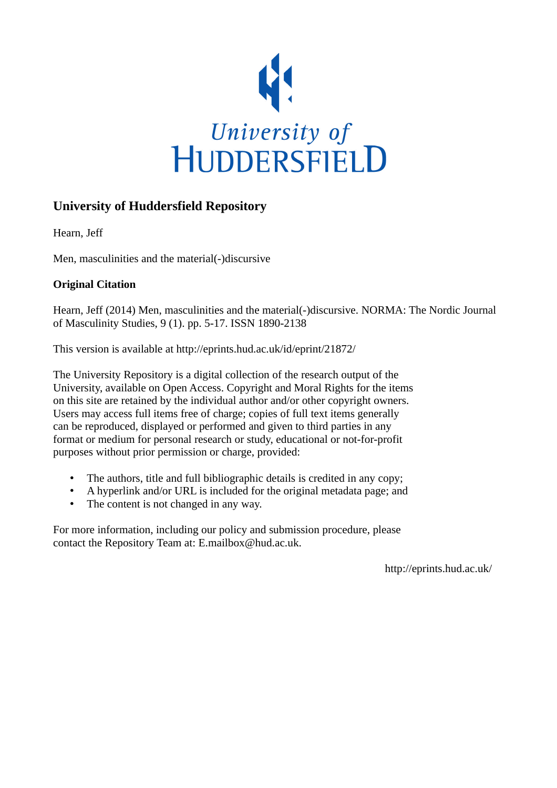

# **University of Huddersfield Repository**

Hearn, Jeff

Men, masculinities and the material(-)discursive

# **Original Citation**

Hearn, Jeff (2014) Men, masculinities and the material(-)discursive. NORMA: The Nordic Journal of Masculinity Studies, 9 (1). pp. 5-17. ISSN 1890-2138

This version is available at http://eprints.hud.ac.uk/id/eprint/21872/

The University Repository is a digital collection of the research output of the University, available on Open Access. Copyright and Moral Rights for the items on this site are retained by the individual author and/or other copyright owners. Users may access full items free of charge; copies of full text items generally can be reproduced, displayed or performed and given to third parties in any format or medium for personal research or study, educational or not-for-profit purposes without prior permission or charge, provided:

- The authors, title and full bibliographic details is credited in any copy;
- A hyperlink and/or URL is included for the original metadata page; and
- The content is not changed in any way.

For more information, including our policy and submission procedure, please contact the Repository Team at: E.mailbox@hud.ac.uk.

http://eprints.hud.ac.uk/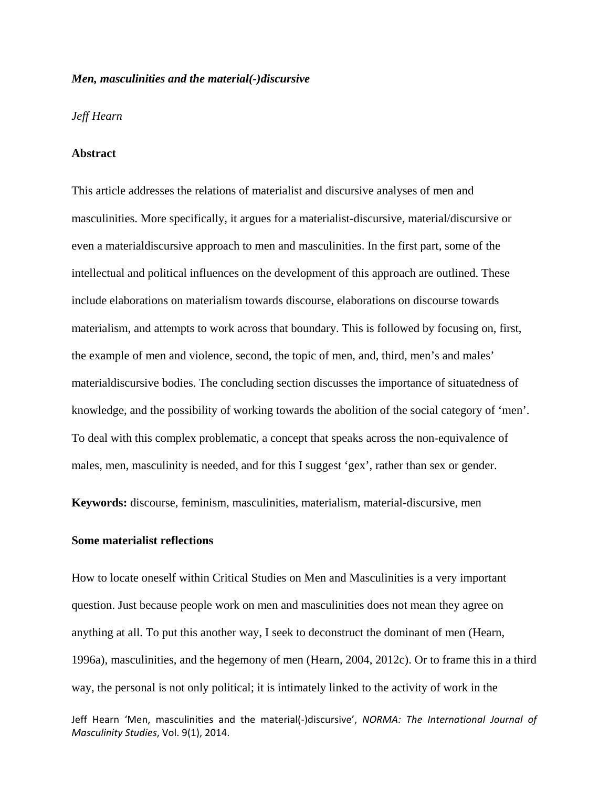#### *Men, masculinities and the material(-)discursive*

# *Jeff Hearn*

## **Abstract**

This article addresses the relations of materialist and discursive analyses of men and masculinities. More specifically, it argues for a materialist-discursive, material/discursive or even a materialdiscursive approach to men and masculinities. In the first part, some of the intellectual and political influences on the development of this approach are outlined. These include elaborations on materialism towards discourse, elaborations on discourse towards materialism, and attempts to work across that boundary. This is followed by focusing on, first, the example of men and violence, second, the topic of men, and, third, men's and males' materialdiscursive bodies. The concluding section discusses the importance of situatedness of knowledge, and the possibility of working towards the abolition of the social category of 'men'. To deal with this complex problematic, a concept that speaks across the non-equivalence of males, men, masculinity is needed, and for this I suggest 'gex', rather than sex or gender.

**Keywords:** discourse, feminism, masculinities, materialism, material-discursive, men

#### **Some materialist reflections**

How to locate oneself within Critical Studies on Men and Masculinities is a very important question. Just because people work on men and masculinities does not mean they agree on anything at all. To put this another way, I seek to deconstruct the dominant of men (Hearn, 1996a), masculinities, and the hegemony of men (Hearn, 2004, 2012c). Or to frame this in a third way, the personal is not only political; it is intimately linked to the activity of work in the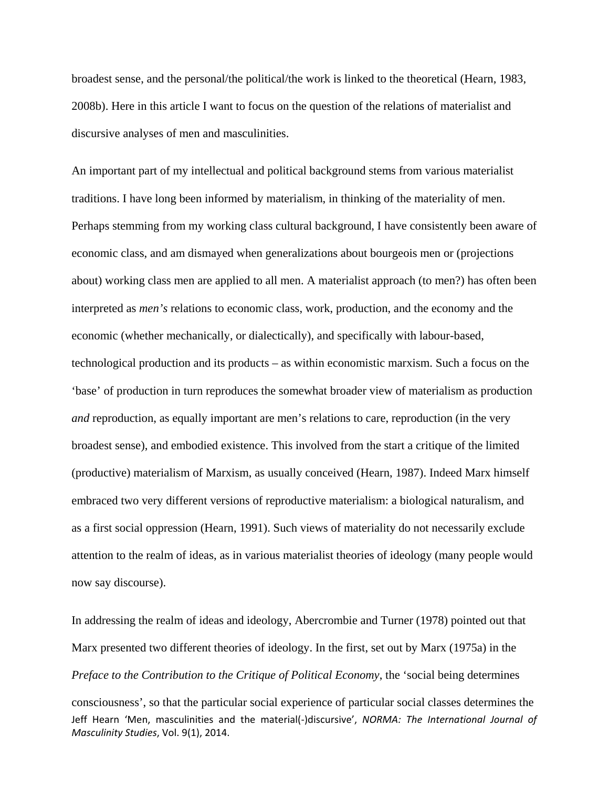broadest sense, and the personal/the political/the work is linked to the theoretical (Hearn, 1983, 2008b). Here in this article I want to focus on the question of the relations of materialist and discursive analyses of men and masculinities.

An important part of my intellectual and political background stems from various materialist traditions. I have long been informed by materialism, in thinking of the materiality of men. Perhaps stemming from my working class cultural background, I have consistently been aware of economic class, and am dismayed when generalizations about bourgeois men or (projections about) working class men are applied to all men. A materialist approach (to men?) has often been interpreted as *men's* relations to economic class, work, production, and the economy and the economic (whether mechanically, or dialectically), and specifically with labour-based, technological production and its products – as within economistic marxism. Such a focus on the 'base' of production in turn reproduces the somewhat broader view of materialism as production *and* reproduction, as equally important are men's relations to care, reproduction (in the very broadest sense), and embodied existence. This involved from the start a critique of the limited (productive) materialism of Marxism, as usually conceived (Hearn, 1987). Indeed Marx himself embraced two very different versions of reproductive materialism: a biological naturalism, and as a first social oppression (Hearn, 1991). Such views of materiality do not necessarily exclude attention to the realm of ideas, as in various materialist theories of ideology (many people would now say discourse).

In addressing the realm of ideas and ideology, Abercrombie and Turner (1978) pointed out that Marx presented two different theories of ideology. In the first, set out by Marx (1975a) in the *Preface to the Contribution to the Critique of Political Economy*, the 'social being determines

Jeff Hearn 'Men, masculinities and the material(-)discursive', *NORMA: The International Journal of Masculinity Studies*, Vol. 9(1), 2014. consciousness', so that the particular social experience of particular social classes determines the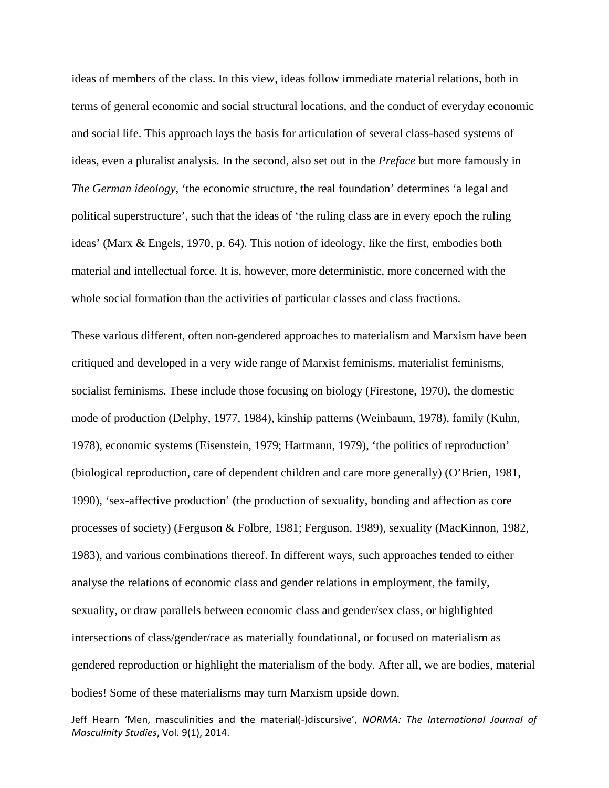ideas of members of the class. In this view, ideas follow immediate material relations, both in terms of general economic and social structural locations, and the conduct of everyday economic and social life. This approach lays the basis for articulation of several class-based systems of ideas, even a pluralist analysis. In the second, also set out in the *Preface* but more famously in *The German ideology*, 'the economic structure, the real foundation' determines 'a legal and political superstructure', such that the ideas of 'the ruling class are in every epoch the ruling ideas' (Marx & Engels, 1970, p. 64). This notion of ideology, like the first, embodies both material and intellectual force. It is, however, more deterministic, more concerned with the whole social formation than the activities of particular classes and class fractions.

These various different, often non-gendered approaches to materialism and Marxism have been critiqued and developed in a very wide range of Marxist feminisms, materialist feminisms, socialist feminisms. These include those focusing on biology (Firestone, 1970), the domestic mode of production (Delphy, 1977, 1984), kinship patterns (Weinbaum, 1978), family (Kuhn, 1978), economic systems (Eisenstein, 1979; Hartmann, 1979), 'the politics of reproduction' (biological reproduction, care of dependent children and care more generally) (O'Brien, 1981, 1990), 'sex-affective production' (the production of sexuality, bonding and affection as core processes of society) (Ferguson & Folbre, 1981; Ferguson, 1989), sexuality (MacKinnon, 1982, 1983), and various combinations thereof. In different ways, such approaches tended to either analyse the relations of economic class and gender relations in employment, the family, sexuality, or draw parallels between economic class and gender/sex class, or highlighted intersections of class/gender/race as materially foundational, or focused on materialism as gendered reproduction or highlight the materialism of the body. After all, we are bodies, material bodies! Some of these materialisms may turn Marxism upside down.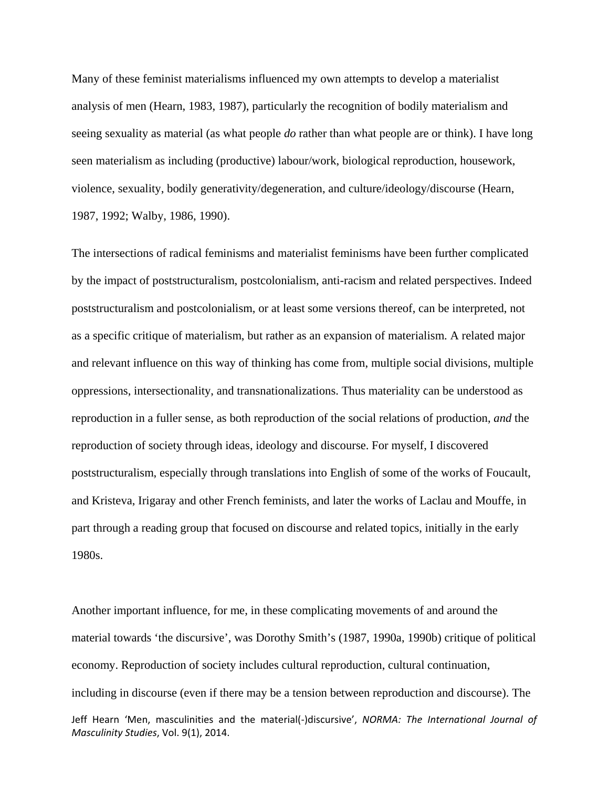Many of these feminist materialisms influenced my own attempts to develop a materialist analysis of men (Hearn, 1983, 1987), particularly the recognition of bodily materialism and seeing sexuality as material (as what people *do* rather than what people are or think). I have long seen materialism as including (productive) labour/work, biological reproduction, housework, violence, sexuality, bodily generativity/degeneration, and culture/ideology/discourse (Hearn, 1987, 1992; Walby, 1986, 1990).

The intersections of radical feminisms and materialist feminisms have been further complicated by the impact of poststructuralism, postcolonialism, anti-racism and related perspectives. Indeed poststructuralism and postcolonialism, or at least some versions thereof, can be interpreted, not as a specific critique of materialism, but rather as an expansion of materialism. A related major and relevant influence on this way of thinking has come from, multiple social divisions, multiple oppressions, intersectionality, and transnationalizations. Thus materiality can be understood as reproduction in a fuller sense, as both reproduction of the social relations of production, *and* the reproduction of society through ideas, ideology and discourse. For myself, I discovered poststructuralism, especially through translations into English of some of the works of Foucault, and Kristeva, Irigaray and other French feminists, and later the works of Laclau and Mouffe, in part through a reading group that focused on discourse and related topics, initially in the early 1980s.

Jeff Hearn 'Men, masculinities and the material(-)discursive', *NORMA: The International Journal of Masculinity Studies*, Vol. 9(1), 2014. Another important influence, for me, in these complicating movements of and around the material towards 'the discursive', was Dorothy Smith's (1987, 1990a, 1990b) critique of political economy. Reproduction of society includes cultural reproduction, cultural continuation, including in discourse (even if there may be a tension between reproduction and discourse). The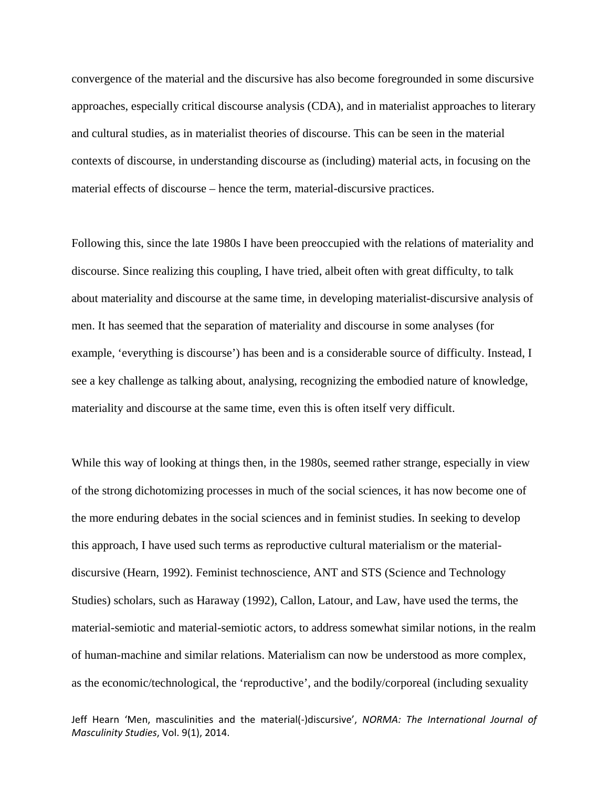convergence of the material and the discursive has also become foregrounded in some discursive approaches, especially critical discourse analysis (CDA), and in materialist approaches to literary and cultural studies, as in materialist theories of discourse. This can be seen in the material contexts of discourse, in understanding discourse as (including) material acts, in focusing on the material effects of discourse – hence the term, material-discursive practices.

Following this, since the late 1980s I have been preoccupied with the relations of materiality and discourse. Since realizing this coupling, I have tried, albeit often with great difficulty, to talk about materiality and discourse at the same time, in developing materialist-discursive analysis of men. It has seemed that the separation of materiality and discourse in some analyses (for example, 'everything is discourse') has been and is a considerable source of difficulty. Instead, I see a key challenge as talking about, analysing, recognizing the embodied nature of knowledge, materiality and discourse at the same time, even this is often itself very difficult.

While this way of looking at things then, in the 1980s, seemed rather strange, especially in view of the strong dichotomizing processes in much of the social sciences, it has now become one of the more enduring debates in the social sciences and in feminist studies. In seeking to develop this approach, I have used such terms as reproductive cultural materialism or the materialdiscursive (Hearn, 1992). Feminist technoscience, ANT and STS (Science and Technology Studies) scholars, such as Haraway (1992), Callon, Latour, and Law, have used the terms, the material-semiotic and material-semiotic actors, to address somewhat similar notions, in the realm of human-machine and similar relations. Materialism can now be understood as more complex, as the economic/technological, the 'reproductive', and the bodily/corporeal (including sexuality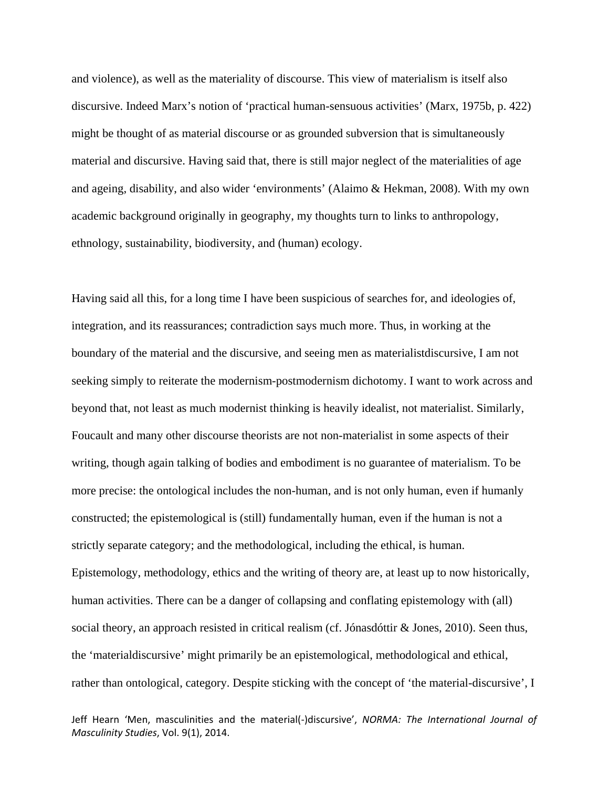and violence), as well as the materiality of discourse. This view of materialism is itself also discursive. Indeed Marx's notion of 'practical human-sensuous activities' (Marx, 1975b, p. 422) might be thought of as material discourse or as grounded subversion that is simultaneously material and discursive. Having said that, there is still major neglect of the materialities of age and ageing, disability, and also wider 'environments' (Alaimo & Hekman, 2008). With my own academic background originally in geography, my thoughts turn to links to anthropology, ethnology, sustainability, biodiversity, and (human) ecology.

Having said all this, for a long time I have been suspicious of searches for, and ideologies of, integration, and its reassurances; contradiction says much more. Thus, in working at the boundary of the material and the discursive, and seeing men as materialistdiscursive, I am not seeking simply to reiterate the modernism-postmodernism dichotomy. I want to work across and beyond that, not least as much modernist thinking is heavily idealist, not materialist. Similarly, Foucault and many other discourse theorists are not non-materialist in some aspects of their writing, though again talking of bodies and embodiment is no guarantee of materialism. To be more precise: the ontological includes the non-human, and is not only human, even if humanly constructed; the epistemological is (still) fundamentally human, even if the human is not a strictly separate category; and the methodological, including the ethical, is human. Epistemology, methodology, ethics and the writing of theory are, at least up to now historically, human activities. There can be a danger of collapsing and conflating epistemology with (all) social theory, an approach resisted in critical realism (cf. Jónasdóttir & Jones, 2010). Seen thus, the 'materialdiscursive' might primarily be an epistemological, methodological and ethical, rather than ontological, category. Despite sticking with the concept of 'the material-discursive', I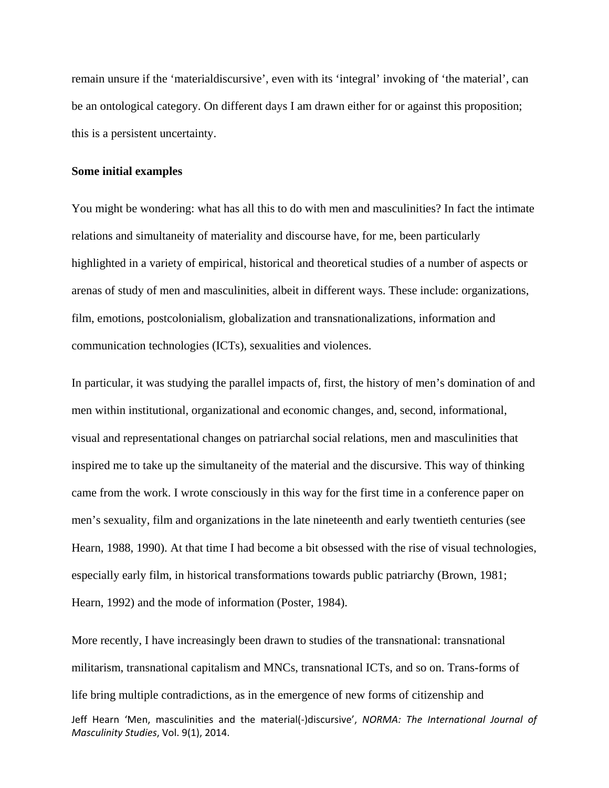remain unsure if the 'materialdiscursive', even with its 'integral' invoking of 'the material', can be an ontological category. On different days I am drawn either for or against this proposition; this is a persistent uncertainty.

#### **Some initial examples**

You might be wondering: what has all this to do with men and masculinities? In fact the intimate relations and simultaneity of materiality and discourse have, for me, been particularly highlighted in a variety of empirical, historical and theoretical studies of a number of aspects or arenas of study of men and masculinities, albeit in different ways. These include: organizations, film, emotions, postcolonialism, globalization and transnationalizations, information and communication technologies (ICTs), sexualities and violences.

In particular, it was studying the parallel impacts of, first, the history of men's domination of and men within institutional, organizational and economic changes, and, second, informational, visual and representational changes on patriarchal social relations, men and masculinities that inspired me to take up the simultaneity of the material and the discursive. This way of thinking came from the work. I wrote consciously in this way for the first time in a conference paper on men's sexuality, film and organizations in the late nineteenth and early twentieth centuries (see Hearn, 1988, 1990). At that time I had become a bit obsessed with the rise of visual technologies, especially early film, in historical transformations towards public patriarchy (Brown, 1981; Hearn, 1992) and the mode of information (Poster, 1984).

Jeff Hearn 'Men, masculinities and the material(-)discursive', *NORMA: The International Journal of Masculinity Studies*, Vol. 9(1), 2014. More recently, I have increasingly been drawn to studies of the transnational: transnational militarism, transnational capitalism and MNCs, transnational ICTs, and so on. Trans-forms of life bring multiple contradictions, as in the emergence of new forms of citizenship and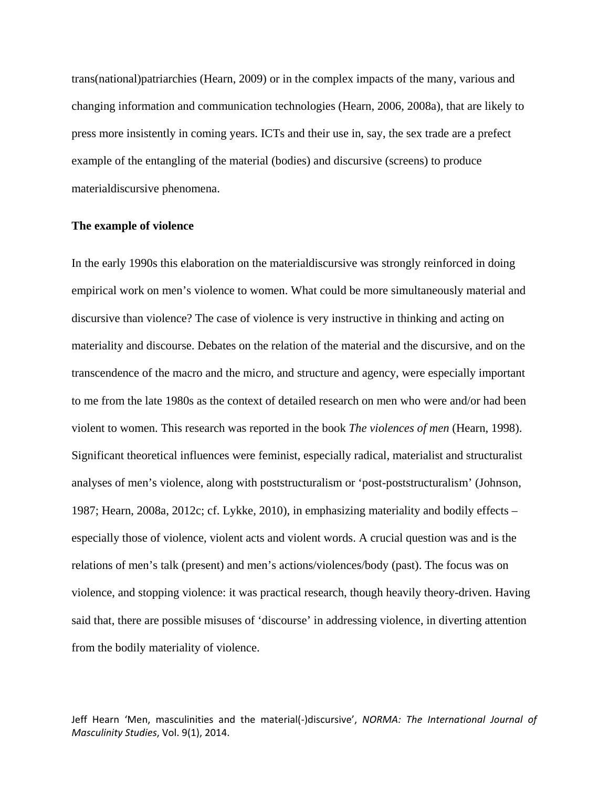trans(national)patriarchies (Hearn, 2009) or in the complex impacts of the many, various and changing information and communication technologies (Hearn, 2006, 2008a), that are likely to press more insistently in coming years. ICTs and their use in, say, the sex trade are a prefect example of the entangling of the material (bodies) and discursive (screens) to produce materialdiscursive phenomena.

#### **The example of violence**

In the early 1990s this elaboration on the materialdiscursive was strongly reinforced in doing empirical work on men's violence to women. What could be more simultaneously material and discursive than violence? The case of violence is very instructive in thinking and acting on materiality and discourse. Debates on the relation of the material and the discursive, and on the transcendence of the macro and the micro, and structure and agency, were especially important to me from the late 1980s as the context of detailed research on men who were and/or had been violent to women. This research was reported in the book *The violences of men* (Hearn, 1998). Significant theoretical influences were feminist, especially radical, materialist and structuralist analyses of men's violence, along with poststructuralism or 'post-poststructuralism' (Johnson, 1987; Hearn, 2008a, 2012c; cf. Lykke, 2010), in emphasizing materiality and bodily effects – especially those of violence, violent acts and violent words. A crucial question was and is the relations of men's talk (present) and men's actions/violences/body (past). The focus was on violence, and stopping violence: it was practical research, though heavily theory-driven. Having said that, there are possible misuses of 'discourse' in addressing violence, in diverting attention from the bodily materiality of violence.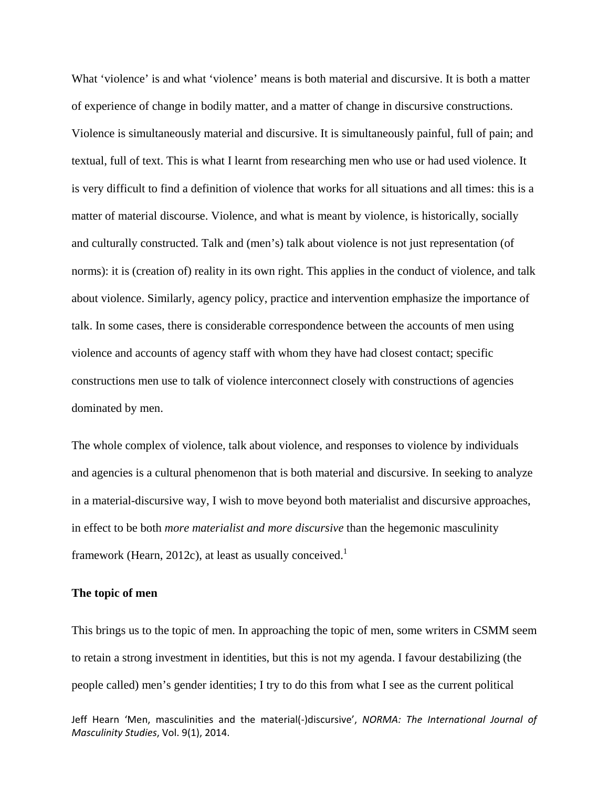What 'violence' is and what 'violence' means is both material and discursive. It is both a matter of experience of change in bodily matter, and a matter of change in discursive constructions. Violence is simultaneously material and discursive. It is simultaneously painful, full of pain; and textual, full of text. This is what I learnt from researching men who use or had used violence. It is very difficult to find a definition of violence that works for all situations and all times: this is a matter of material discourse. Violence, and what is meant by violence, is historically, socially and culturally constructed. Talk and (men's) talk about violence is not just representation (of norms): it is (creation of) reality in its own right. This applies in the conduct of violence, and talk about violence. Similarly, agency policy, practice and intervention emphasize the importance of talk. In some cases, there is considerable correspondence between the accounts of men using violence and accounts of agency staff with whom they have had closest contact; specific constructions men use to talk of violence interconnect closely with constructions of agencies dominated by men.

The whole complex of violence, talk about violence, and responses to violence by individuals and agencies is a cultural phenomenon that is both material and discursive. In seeking to analyze in a material-discursive way, I wish to move beyond both materialist and discursive approaches, in effect to be both *more materialist and more discursive* than the hegemonic masculinity framework (Hearn, 2012c), at least as usually conceived.<sup>1</sup>

#### **The topic of men**

This brings us to the topic of men. In approaching the topic of men, some writers in CSMM seem to retain a strong investment in identities, but this is not my agenda. I favour destabilizing (the people called) men's gender identities; I try to do this from what I see as the current political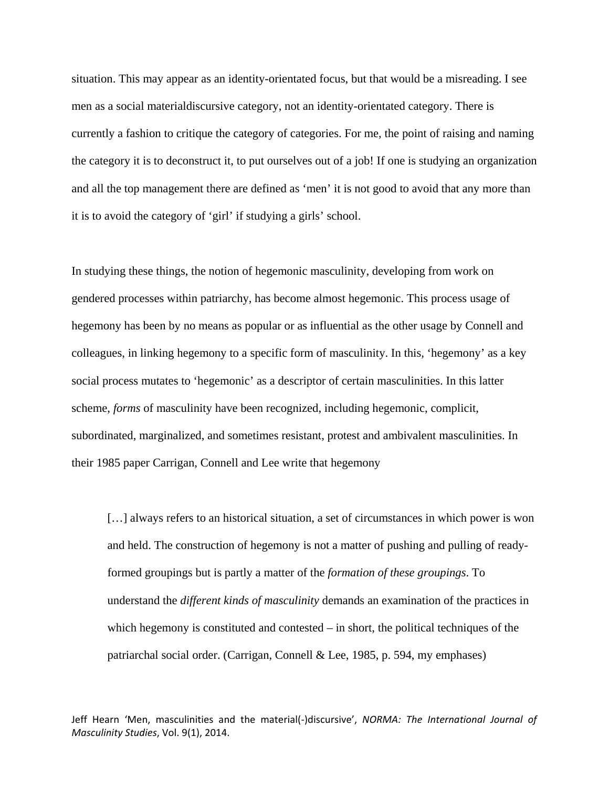situation. This may appear as an identity-orientated focus, but that would be a misreading. I see men as a social materialdiscursive category, not an identity-orientated category. There is currently a fashion to critique the category of categories. For me, the point of raising and naming the category it is to deconstruct it, to put ourselves out of a job! If one is studying an organization and all the top management there are defined as 'men' it is not good to avoid that any more than it is to avoid the category of 'girl' if studying a girls' school.

In studying these things, the notion of hegemonic masculinity, developing from work on gendered processes within patriarchy, has become almost hegemonic. This process usage of hegemony has been by no means as popular or as influential as the other usage by Connell and colleagues, in linking hegemony to a specific form of masculinity. In this, 'hegemony' as a key social process mutates to 'hegemonic' as a descriptor of certain masculinities. In this latter scheme, *forms* of masculinity have been recognized, including hegemonic, complicit, subordinated, marginalized, and sometimes resistant, protest and ambivalent masculinities. In their 1985 paper Carrigan, Connell and Lee write that hegemony

[...] always refers to an historical situation, a set of circumstances in which power is won and held. The construction of hegemony is not a matter of pushing and pulling of readyformed groupings but is partly a matter of the *formation of these groupings*. To understand the *different kinds of masculinity* demands an examination of the practices in which hegemony is constituted and contested – in short, the political techniques of the patriarchal social order. (Carrigan, Connell & Lee, 1985, p. 594, my emphases)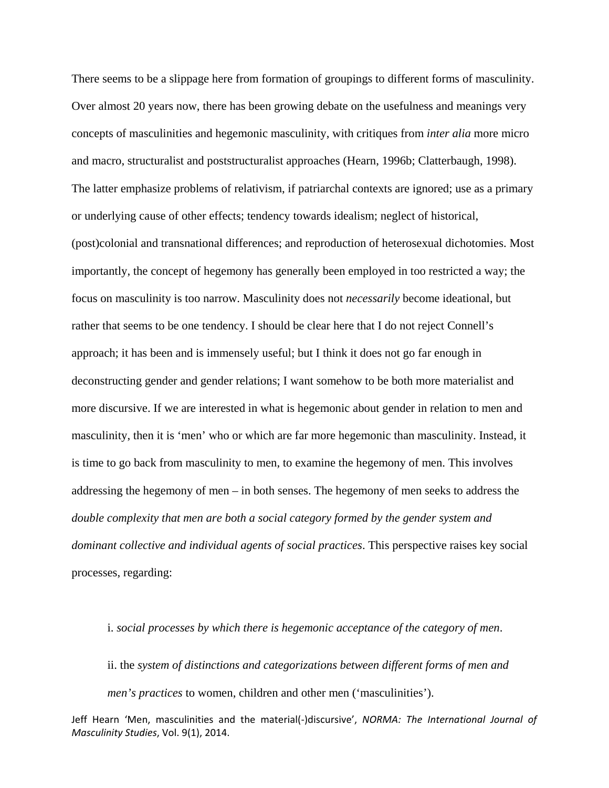There seems to be a slippage here from formation of groupings to different forms of masculinity. Over almost 20 years now, there has been growing debate on the usefulness and meanings very concepts of masculinities and hegemonic masculinity, with critiques from *inter alia* more micro and macro, structuralist and poststructuralist approaches (Hearn, 1996b; Clatterbaugh, 1998). The latter emphasize problems of relativism, if patriarchal contexts are ignored; use as a primary or underlying cause of other effects; tendency towards idealism; neglect of historical, (post)colonial and transnational differences; and reproduction of heterosexual dichotomies. Most importantly, the concept of hegemony has generally been employed in too restricted a way; the focus on masculinity is too narrow. Masculinity does not *necessarily* become ideational, but rather that seems to be one tendency. I should be clear here that I do not reject Connell's approach; it has been and is immensely useful; but I think it does not go far enough in deconstructing gender and gender relations; I want somehow to be both more materialist and more discursive. If we are interested in what is hegemonic about gender in relation to men and masculinity, then it is 'men' who or which are far more hegemonic than masculinity. Instead, it is time to go back from masculinity to men, to examine the hegemony of men. This involves addressing the hegemony of men – in both senses. The hegemony of men seeks to address the *double complexity that men are both a social category formed by the gender system and dominant collective and individual agents of social practices*. This perspective raises key social processes, regarding:

i. *social processes by which there is hegemonic acceptance of the category of men*.

ii. the *system of distinctions and categorizations between different forms of men and men's practices* to women, children and other men ('masculinities').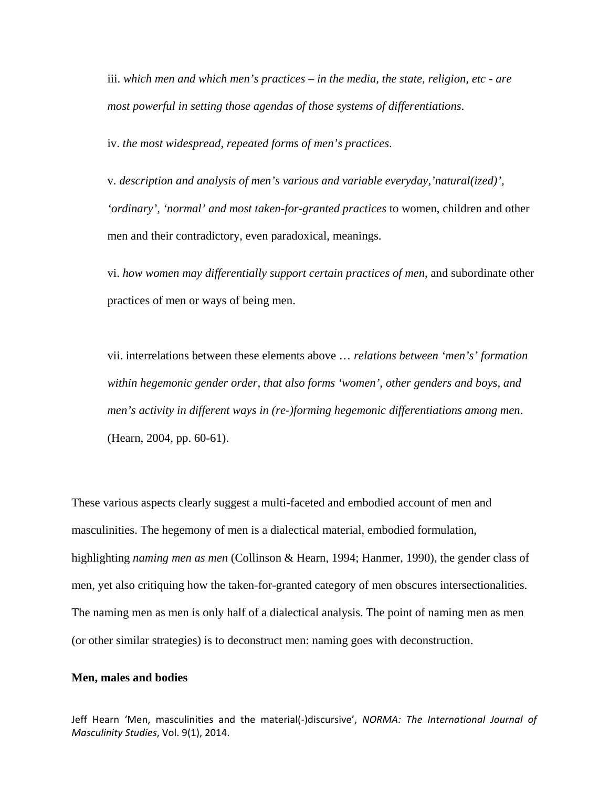iii. *which men and which men's practices – in the media, the state, religion, etc - are most powerful in setting those agendas of those systems of differentiations*.

iv. *the most widespread, repeated forms of men's practices*.

v. *description and analysis of men's various and variable everyday,'natural(ized)', 'ordinary', 'normal' and most taken-for-granted practices* to women, children and other men and their contradictory, even paradoxical, meanings.

vi. *how women may differentially support certain practices of men*, and subordinate other practices of men or ways of being men.

vii. interrelations between these elements above … *relations between 'men's' formation within hegemonic gender order, that also forms 'women', other genders and boys, and men's activity in different ways in (re-)forming hegemonic differentiations among men*. (Hearn, 2004, pp. 60-61).

These various aspects clearly suggest a multi-faceted and embodied account of men and masculinities. The hegemony of men is a dialectical material, embodied formulation, highlighting *naming men as men* (Collinson & Hearn, 1994; Hanmer, 1990), the gender class of men, yet also critiquing how the taken-for-granted category of men obscures intersectionalities. The naming men as men is only half of a dialectical analysis. The point of naming men as men (or other similar strategies) is to deconstruct men: naming goes with deconstruction.

#### **Men, males and bodies**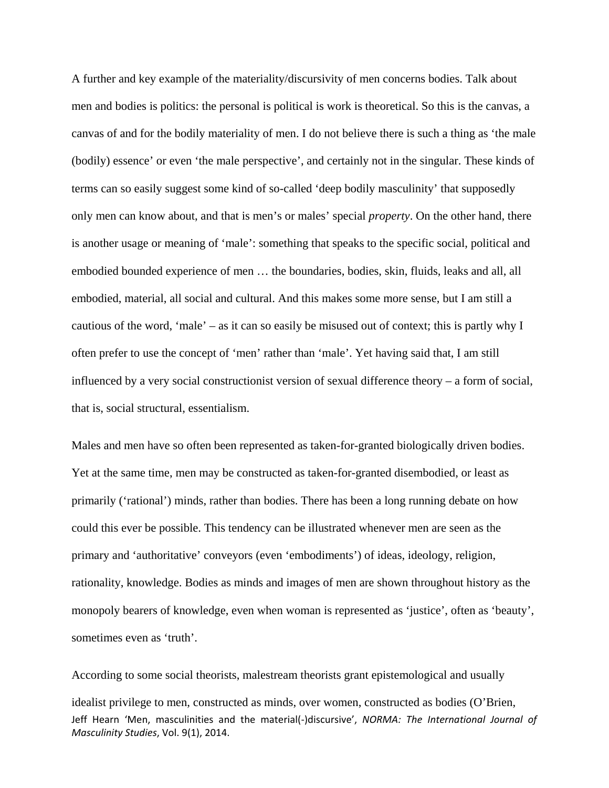A further and key example of the materiality/discursivity of men concerns bodies. Talk about men and bodies is politics: the personal is political is work is theoretical. So this is the canvas, a canvas of and for the bodily materiality of men. I do not believe there is such a thing as 'the male (bodily) essence' or even 'the male perspective', and certainly not in the singular. These kinds of terms can so easily suggest some kind of so-called 'deep bodily masculinity' that supposedly only men can know about, and that is men's or males' special *property*. On the other hand, there is another usage or meaning of 'male': something that speaks to the specific social, political and embodied bounded experience of men … the boundaries, bodies, skin, fluids, leaks and all, all embodied, material, all social and cultural. And this makes some more sense, but I am still a cautious of the word, 'male' – as it can so easily be misused out of context; this is partly why I often prefer to use the concept of 'men' rather than 'male'. Yet having said that, I am still influenced by a very social constructionist version of sexual difference theory – a form of social, that is, social structural, essentialism.

Males and men have so often been represented as taken-for-granted biologically driven bodies. Yet at the same time, men may be constructed as taken-for-granted disembodied, or least as primarily ('rational') minds, rather than bodies. There has been a long running debate on how could this ever be possible. This tendency can be illustrated whenever men are seen as the primary and 'authoritative' conveyors (even 'embodiments') of ideas, ideology, religion, rationality, knowledge. Bodies as minds and images of men are shown throughout history as the monopoly bearers of knowledge, even when woman is represented as 'justice', often as 'beauty', sometimes even as 'truth'.

According to some social theorists, malestream theorists grant epistemological and usually

Jeff Hearn 'Men, masculinities and the material(-)discursive', *NORMA: The International Journal of Masculinity Studies*, Vol. 9(1), 2014. idealist privilege to men, constructed as minds, over women, constructed as bodies (O'Brien,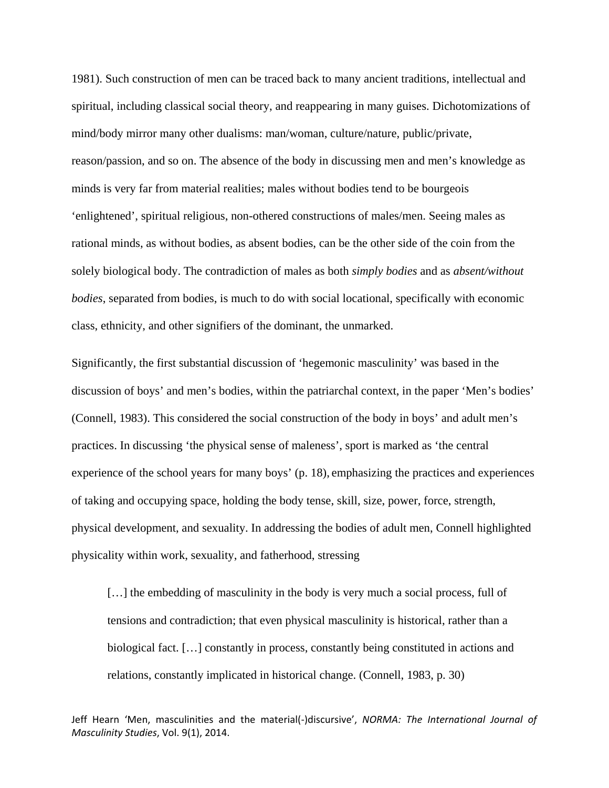1981). Such construction of men can be traced back to many ancient traditions, intellectual and spiritual, including classical social theory, and reappearing in many guises. Dichotomizations of mind/body mirror many other dualisms: man/woman, culture/nature, public/private, reason/passion, and so on. The absence of the body in discussing men and men's knowledge as minds is very far from material realities; males without bodies tend to be bourgeois 'enlightened', spiritual religious, non-othered constructions of males/men. Seeing males as rational minds, as without bodies, as absent bodies, can be the other side of the coin from the solely biological body. The contradiction of males as both *simply bodies* and as *absent/without bodies*, separated from bodies, is much to do with social locational, specifically with economic class, ethnicity, and other signifiers of the dominant, the unmarked.

Significantly, the first substantial discussion of 'hegemonic masculinity' was based in the discussion of boys' and men's bodies, within the patriarchal context, in the paper 'Men's bodies' (Connell, 1983). This considered the social construction of the body in boys' and adult men's practices. In discussing 'the physical sense of maleness', sport is marked as 'the central experience of the school years for many boys' (p. 18), emphasizing the practices and experiences of taking and occupying space, holding the body tense, skill, size, power, force, strength, physical development, and sexuality. In addressing the bodies of adult men, Connell highlighted physicality within work, sexuality, and fatherhood, stressing

[...] the embedding of masculinity in the body is very much a social process, full of tensions and contradiction; that even physical masculinity is historical, rather than a biological fact. […] constantly in process, constantly being constituted in actions and relations, constantly implicated in historical change. (Connell, 1983, p. 30)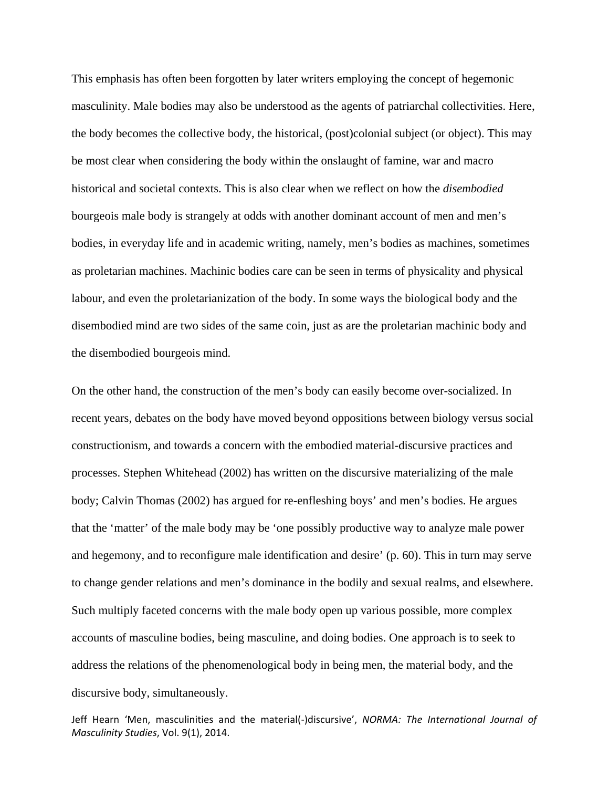This emphasis has often been forgotten by later writers employing the concept of hegemonic masculinity. Male bodies may also be understood as the agents of patriarchal collectivities. Here, the body becomes the collective body, the historical, (post)colonial subject (or object). This may be most clear when considering the body within the onslaught of famine, war and macro historical and societal contexts. This is also clear when we reflect on how the *disembodied*  bourgeois male body is strangely at odds with another dominant account of men and men's bodies, in everyday life and in academic writing, namely, men's bodies as machines, sometimes as proletarian machines. Machinic bodies care can be seen in terms of physicality and physical labour, and even the proletarianization of the body. In some ways the biological body and the disembodied mind are two sides of the same coin, just as are the proletarian machinic body and the disembodied bourgeois mind.

On the other hand, the construction of the men's body can easily become over-socialized. In recent years, debates on the body have moved beyond oppositions between biology versus social constructionism, and towards a concern with the embodied material-discursive practices and processes. Stephen Whitehead (2002) has written on the discursive materializing of the male body; Calvin Thomas (2002) has argued for re-enfleshing boys' and men's bodies. He argues that the 'matter' of the male body may be 'one possibly productive way to analyze male power and hegemony, and to reconfigure male identification and desire' (p. 60). This in turn may serve to change gender relations and men's dominance in the bodily and sexual realms, and elsewhere. Such multiply faceted concerns with the male body open up various possible, more complex accounts of masculine bodies, being masculine, and doing bodies. One approach is to seek to address the relations of the phenomenological body in being men, the material body, and the discursive body, simultaneously.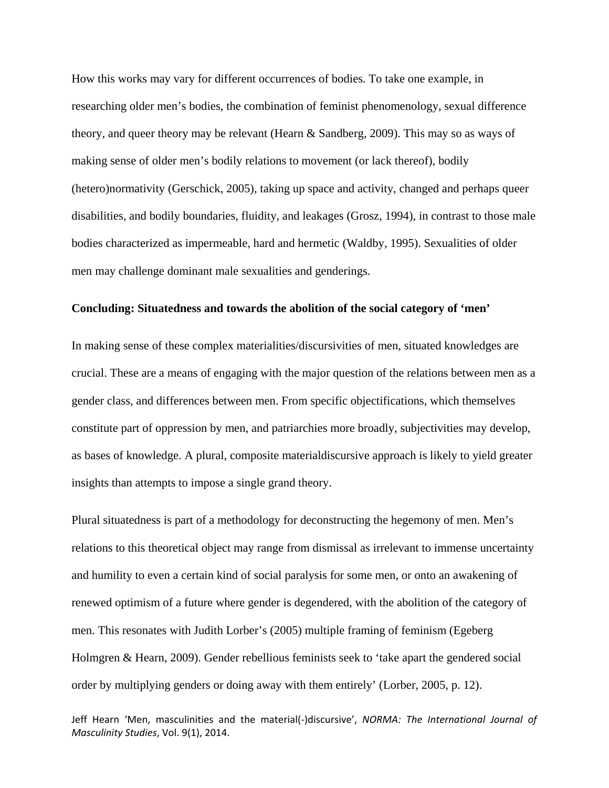How this works may vary for different occurrences of bodies. To take one example, in researching older men's bodies, the combination of feminist phenomenology, sexual difference theory, and queer theory may be relevant (Hearn & Sandberg, 2009). This may so as ways of making sense of older men's bodily relations to movement (or lack thereof), bodily (hetero)normativity (Gerschick, 2005), taking up space and activity, changed and perhaps queer disabilities, and bodily boundaries, fluidity, and leakages (Grosz, 1994), in contrast to those male bodies characterized as impermeable, hard and hermetic (Waldby, 1995). Sexualities of older men may challenge dominant male sexualities and genderings.

#### **Concluding: Situatedness and towards the abolition of the social category of 'men'**

In making sense of these complex materialities/discursivities of men, situated knowledges are crucial. These are a means of engaging with the major question of the relations between men as a gender class, and differences between men. From specific objectifications, which themselves constitute part of oppression by men, and patriarchies more broadly, subjectivities may develop, as bases of knowledge. A plural, composite materialdiscursive approach is likely to yield greater insights than attempts to impose a single grand theory.

Plural situatedness is part of a methodology for deconstructing the hegemony of men. Men's relations to this theoretical object may range from dismissal as irrelevant to immense uncertainty and humility to even a certain kind of social paralysis for some men, or onto an awakening of renewed optimism of a future where gender is degendered, with the abolition of the category of men. This resonates with Judith Lorber's (2005) multiple framing of feminism (Egeberg Holmgren & Hearn, 2009). Gender rebellious feminists seek to 'take apart the gendered social order by multiplying genders or doing away with them entirely' (Lorber, 2005, p. 12).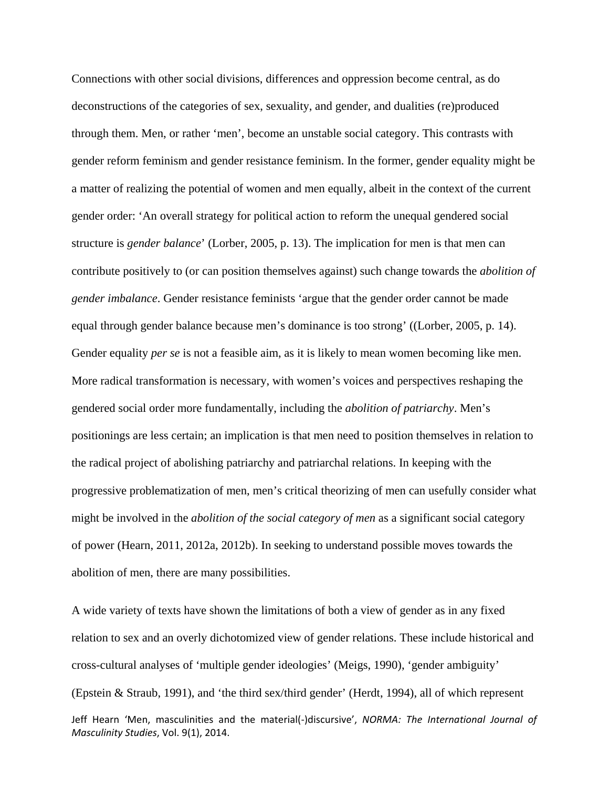Connections with other social divisions, differences and oppression become central, as do deconstructions of the categories of sex, sexuality, and gender, and dualities (re)produced through them. Men, or rather 'men', become an unstable social category. This contrasts with gender reform feminism and gender resistance feminism. In the former, gender equality might be a matter of realizing the potential of women and men equally, albeit in the context of the current gender order: 'An overall strategy for political action to reform the unequal gendered social structure is *gender balance*' (Lorber, 2005, p. 13). The implication for men is that men can contribute positively to (or can position themselves against) such change towards the *abolition of gender imbalance*. Gender resistance feminists 'argue that the gender order cannot be made equal through gender balance because men's dominance is too strong' ((Lorber, 2005, p. 14). Gender equality *per se* is not a feasible aim, as it is likely to mean women becoming like men. More radical transformation is necessary, with women's voices and perspectives reshaping the gendered social order more fundamentally, including the *abolition of patriarchy*. Men's positionings are less certain; an implication is that men need to position themselves in relation to the radical project of abolishing patriarchy and patriarchal relations. In keeping with the progressive problematization of men, men's critical theorizing of men can usefully consider what might be involved in the *abolition of the social category of men* as a significant social category of power (Hearn, 2011, 2012a, 2012b). In seeking to understand possible moves towards the abolition of men, there are many possibilities.

Jeff Hearn 'Men, masculinities and the material(-)discursive', *NORMA: The International Journal of Masculinity Studies*, Vol. 9(1), 2014. A wide variety of texts have shown the limitations of both a view of gender as in any fixed relation to sex and an overly dichotomized view of gender relations. These include historical and cross-cultural analyses of 'multiple gender ideologies' (Meigs, 1990), 'gender ambiguity' (Epstein & Straub, 1991), and 'the third sex/third gender' (Herdt, 1994), all of which represent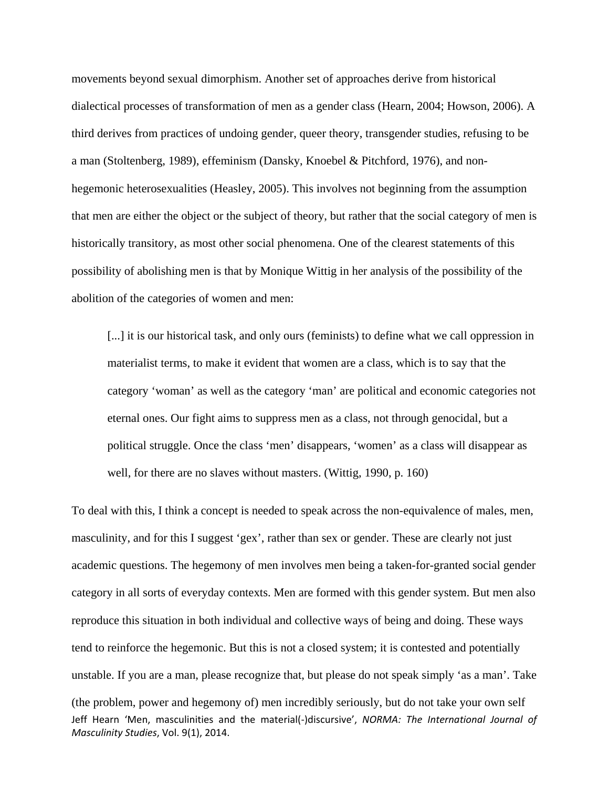movements beyond sexual dimorphism. Another set of approaches derive from historical dialectical processes of transformation of men as a gender class (Hearn, 2004; Howson, 2006). A third derives from practices of undoing gender, queer theory, transgender studies, refusing to be a man (Stoltenberg, 1989), effeminism (Dansky, Knoebel & Pitchford, 1976), and nonhegemonic heterosexualities (Heasley, 2005). This involves not beginning from the assumption that men are either the object or the subject of theory, but rather that the social category of men is historically transitory, as most other social phenomena. One of the clearest statements of this possibility of abolishing men is that by Monique Wittig in her analysis of the possibility of the abolition of the categories of women and men:

[...] it is our historical task, and only ours (feminists) to define what we call oppression in materialist terms, to make it evident that women are a class, which is to say that the category 'woman' as well as the category 'man' are political and economic categories not eternal ones. Our fight aims to suppress men as a class, not through genocidal, but a political struggle. Once the class 'men' disappears, 'women' as a class will disappear as well, for there are no slaves without masters. (Wittig, 1990, p. 160)

To deal with this, I think a concept is needed to speak across the non-equivalence of males, men, masculinity, and for this I suggest 'gex', rather than sex or gender. These are clearly not just academic questions. The hegemony of men involves men being a taken-for-granted social gender category in all sorts of everyday contexts. Men are formed with this gender system. But men also reproduce this situation in both individual and collective ways of being and doing. These ways tend to reinforce the hegemonic. But this is not a closed system; it is contested and potentially unstable. If you are a man, please recognize that, but please do not speak simply 'as a man'. Take

Jeff Hearn 'Men, masculinities and the material(-)discursive', *NORMA: The International Journal of Masculinity Studies*, Vol. 9(1), 2014. (the problem, power and hegemony of) men incredibly seriously, but do not take your own self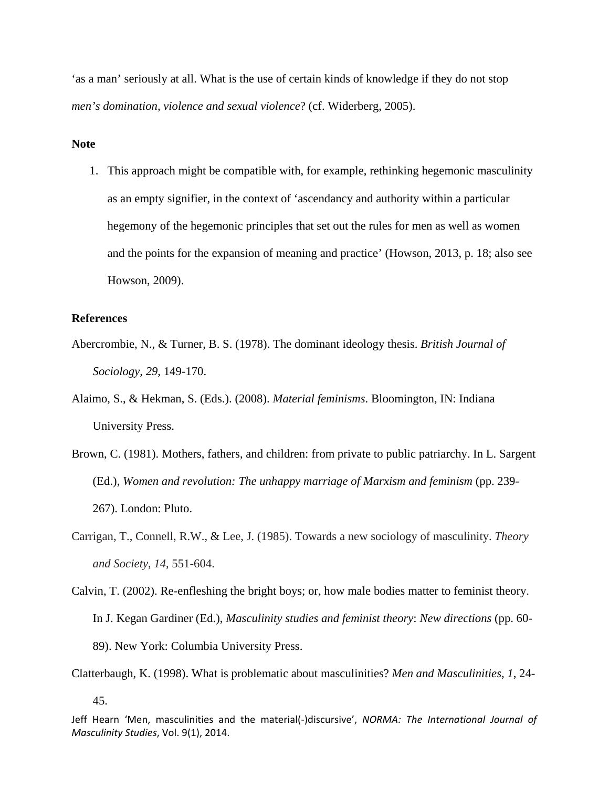'as a man' seriously at all. What is the use of certain kinds of knowledge if they do not stop *men's domination, violence and sexual violence*? (cf. Widerberg, 2005).

### **Note**

1. This approach might be compatible with, for example, rethinking hegemonic masculinity as an empty signifier, in the context of 'ascendancy and authority within a particular hegemony of the hegemonic principles that set out the rules for men as well as women and the points for the expansion of meaning and practice' (Howson, 2013, p. 18; also see Howson, 2009).

#### **References**

- Abercrombie, N., & Turner, B. S. (1978). The dominant ideology thesis. *British Journal of Sociology, 29*, 149-170.
- Alaimo, S., & Hekman, S. (Eds.). (2008). *Material feminisms*. Bloomington, IN: Indiana University Press.
- Brown, C. (1981). Mothers, fathers, and children: from private to public patriarchy. In L. Sargent (Ed.), *Women and revolution: The unhappy marriage of Marxism and feminism* (pp. 239- 267). London: Pluto.
- Carrigan, T., Connell, R.W., & Lee, J. (1985). Towards a new sociology of masculinity. *Theory and Society*, *14*, 551-604.
- Calvin, T. (2002). Re-enfleshing the bright boys; or, how male bodies matter to feminist theory. In J. Kegan Gardiner (Ed.), *Masculinity studies and feminist theory*: *New directions* (pp. 60- 89). New York: Columbia University Press.
- Clatterbaugh, K. (1998). What is problematic about masculinities? *Men and Masculinities*, *1*, 24- 45.

Jeff Hearn 'Men, masculinities and the material(-)discursive', *NORMA: The International Journal of Masculinity Studies*, Vol. 9(1), 2014.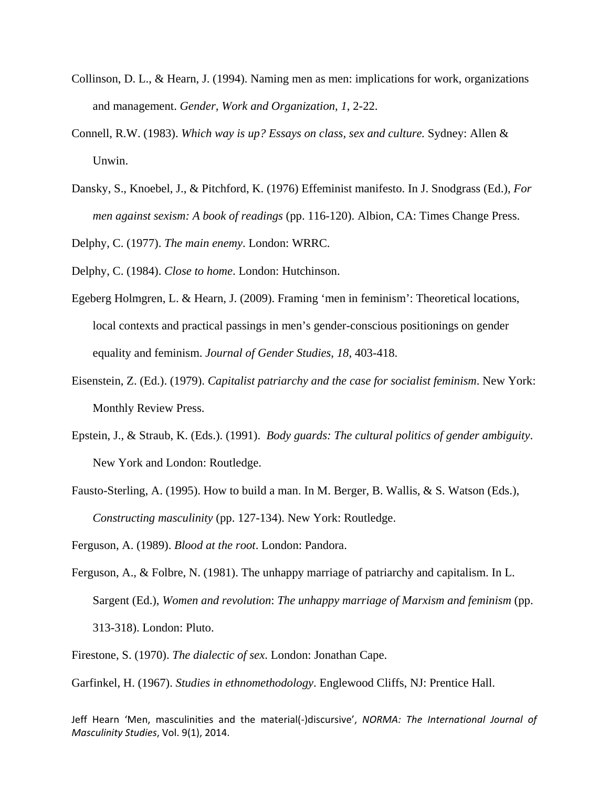- Collinson, D. L., & Hearn, J. (1994). Naming men as men: implications for work, organizations and management. *Gender, Work and Organization*, *1*, 2-22.
- Connell, R.W. (1983). *Which way is up? Essays on class, sex and culture.* Sydney: Allen & Unwin.
- Dansky, S., Knoebel, J., & Pitchford, K. (1976) Effeminist manifesto. In J. Snodgrass (Ed.), *For men against sexism: A book of readings* (pp. 116-120). Albion, CA: Times Change Press.

Delphy, C. (1977). *The main enemy*. London: WRRC.

Delphy, C. (1984). *Close to home*. London: Hutchinson.

- Egeberg Holmgren, L. & Hearn, J. (2009). Framing 'men in feminism': Theoretical locations, local contexts and practical passings in men's gender-conscious positionings on gender equality and feminism. *Journal of Gender Studies*, *18*, 403-418.
- Eisenstein, Z. (Ed.). (1979). *Capitalist patriarchy and the case for socialist feminism*. New York: Monthly Review Press.
- Epstein, J., & Straub, K. (Eds.). (1991). *Body guards: The cultural politics of gender ambiguity*. New York and London: Routledge.
- Fausto-Sterling, A. (1995). How to build a man. In M. Berger, B. Wallis, & S. Watson (Eds.), *Constructing masculinity* (pp. 127-134). New York: Routledge.

Ferguson, A. (1989). *Blood at the root*. London: Pandora.

- Ferguson, A., & Folbre, N. (1981). The unhappy marriage of patriarchy and capitalism. In L. Sargent (Ed.), *Women and revolution*: *The unhappy marriage of Marxism and feminism* (pp. 313-318). London: Pluto.
- Firestone, S. (1970). *The dialectic of sex*. London: Jonathan Cape.

Garfinkel, H. (1967). *Studies in ethnomethodology*. Englewood Cliffs, NJ: Prentice Hall.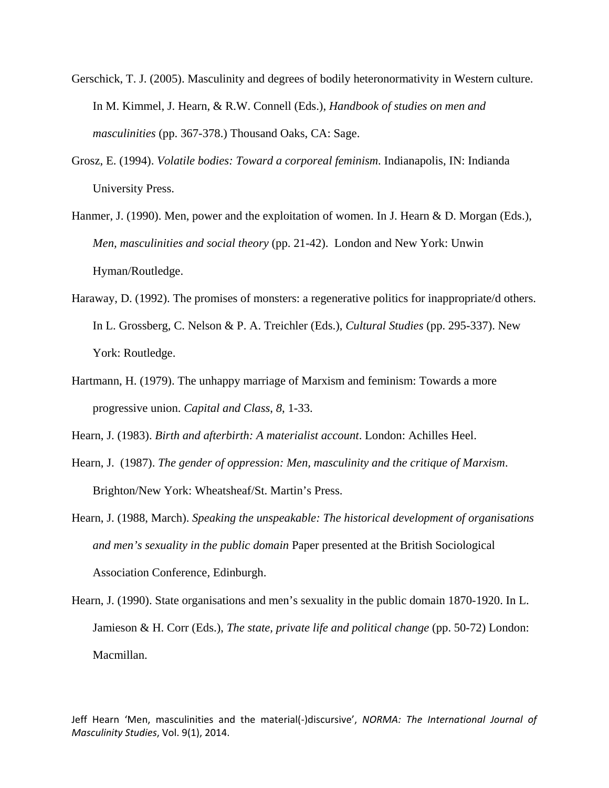- Gerschick, T. J. (2005). Masculinity and degrees of bodily heteronormativity in Western culture. In M. Kimmel, J. Hearn, & R.W. Connell (Eds.), *Handbook of studies on men and masculinities* (pp. 367-378.) Thousand Oaks, CA: Sage.
- Grosz, E. (1994). *Volatile bodies: Toward a corporeal feminism*. Indianapolis, IN: Indianda University Press.
- Hanmer, J. (1990). Men, power and the exploitation of women. In J. Hearn & D. Morgan (Eds.), *Men, masculinities and social theory* (pp. 21-42). London and New York: Unwin Hyman/Routledge.
- Haraway, D. (1992). The promises of monsters: a regenerative politics for inappropriate/d others. In L. Grossberg, C. Nelson & P. A. Treichler (Eds.), *Cultural Studies* (pp. 295-337). New York: Routledge.
- Hartmann, H. (1979). The unhappy marriage of Marxism and feminism: Towards a more progressive union. *Capital and Class*, *8*, 1-33.
- Hearn, J. (1983). *Birth and afterbirth: A materialist account*. London: Achilles Heel.
- Hearn, J. (1987). *The gender of oppression: Men, masculinity and the critique of Marxism*. Brighton/New York: Wheatsheaf/St. Martin's Press.
- Hearn, J. (1988, March). *Speaking the unspeakable: The historical development of organisations and men's sexuality in the public domain* Paper presented at the British Sociological Association Conference, Edinburgh.
- Hearn, J. (1990). State organisations and men's sexuality in the public domain 1870-1920. In L. Jamieson & H. Corr (Eds.), *The state, private life and political change* (pp. 50-72) London: Macmillan.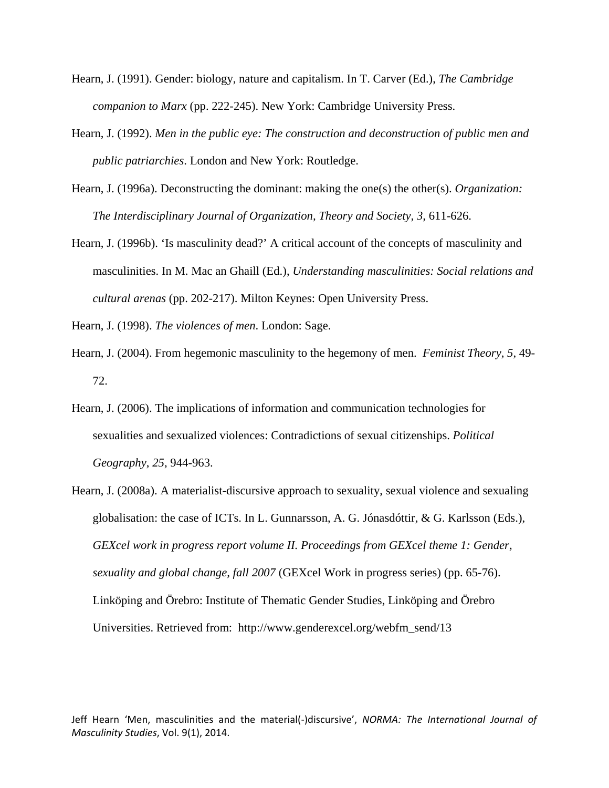- Hearn, J. (1991). Gender: biology, nature and capitalism. In T. Carver (Ed.), *The Cambridge companion to Marx* (pp. 222-245). New York: Cambridge University Press.
- Hearn, J. (1992). *Men in the public eye: The construction and deconstruction of public men and public patriarchies*. London and New York: Routledge.
- Hearn, J. (1996a). Deconstructing the dominant: making the one(s) the other(s). *Organization: The Interdisciplinary Journal of Organization, Theory and Society, 3,* 611-626.
- Hearn, J. (1996b). 'Is masculinity dead?' A critical account of the concepts of masculinity and masculinities. In M. Mac an Ghaill (Ed.), *Understanding masculinities: Social relations and cultural arenas* (pp. 202-217). Milton Keynes: Open University Press.
- Hearn, J. (1998). *The violences of men*. London: Sage.
- Hearn, J. (2004). From hegemonic masculinity to the hegemony of men. *Feminist Theory*, *5*, 49- 72.
- Hearn, J. (2006). The implications of information and communication technologies for sexualities and sexualized violences: Contradictions of sexual citizenships. *Political Geography*, *25*, 944-963.
- Hearn, J. (2008a). A materialist-discursive approach to sexuality, sexual violence and sexualing globalisation: the case of ICTs. In L. Gunnarsson, A. G. Jónasdóttir, & G. Karlsson (Eds.), *GEXcel work in progress report volume II. Proceedings from GEXcel theme 1: Gender, sexuality and global change, fall 2007* (GEXcel Work in progress series) (pp. 65-76). Linköping and Örebro: Institute of Thematic Gender Studies, Linköping and Örebro Universities. Retrieved from: http://www.genderexcel.org/webfm\_send/13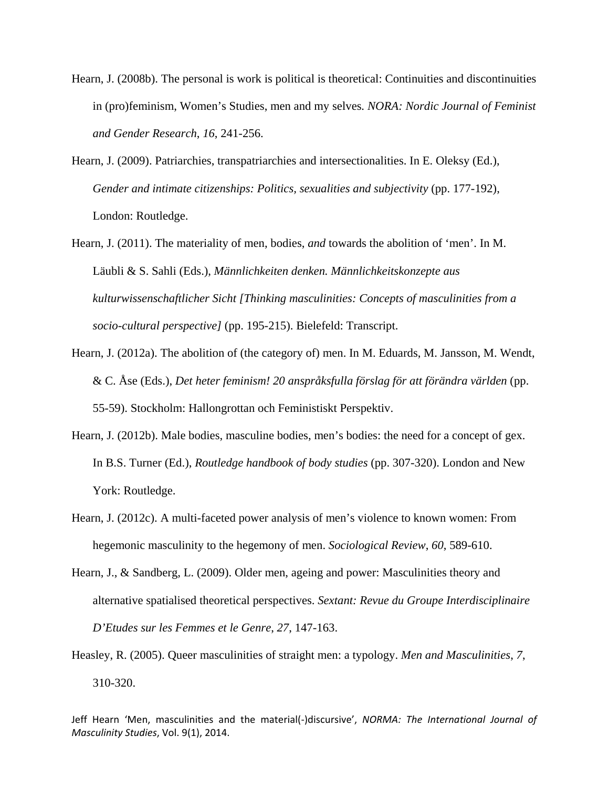- Hearn, J. (2008b). The personal is work is political is theoretical: Continuities and discontinuities in (pro)feminism, Women's Studies, men and my selves*. NORA: Nordic Journal of Feminist and Gender Research*, *16*, 241-256.
- Hearn, J. (2009). Patriarchies, transpatriarchies and intersectionalities. In E. Oleksy (Ed.), *Gender and intimate citizenships: Politics, sexualities and subjectivity* (pp. 177-192), London: Routledge.
- Hearn, J. (2011). The materiality of men, bodies, *and* towards the abolition of 'men'. In M. Läubli & S. Sahli (Eds.), *Männlichkeiten denken. Männlichkeitskonzepte aus kulturwissenschaftlicher Sicht [Thinking masculinities: Concepts of masculinities from a socio-cultural perspective]* (pp. 195-215). Bielefeld: Transcript.
- Hearn, J. (2012a). The abolition of (the category of) men. In M. Eduards, M. Jansson, M. Wendt, & C. Åse (Eds.), *Det heter feminism! 20 anspråksfulla förslag för att förändra världen* (pp. 55-59). Stockholm: Hallongrottan och Feministiskt Perspektiv.
- Hearn, J. (2012b). Male bodies, masculine bodies, men's bodies: the need for a concept of gex. In B.S. Turner (Ed.), *Routledge handbook of body studies* (pp. 307-320). London and New York: Routledge.
- Hearn, J. (2012c). A multi-faceted power analysis of men's violence to known women: From hegemonic masculinity to the hegemony of men. *Sociological Review*, *60*, 589-610.
- Hearn, J., & Sandberg, L. (2009). Older men, ageing and power: Masculinities theory and alternative spatialised theoretical perspectives. *Sextant: Revue du Groupe Interdisciplinaire D'Etudes sur les Femmes et le Genre*, *27*, 147-163.
- Heasley, R. (2005). Queer masculinities of straight men: a typology. *Men and Masculinities*, *7*, 310-320.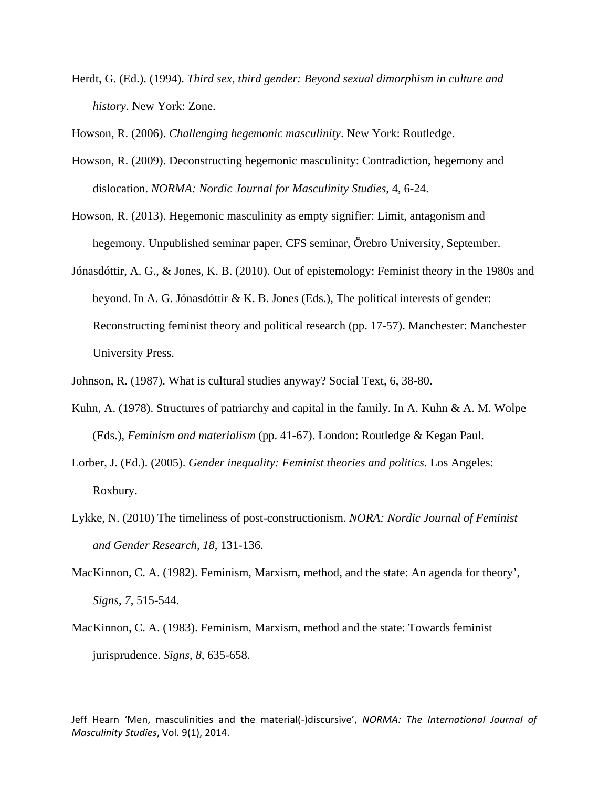Herdt, G. (Ed.). (1994). *Third sex, third gender: Beyond sexual dimorphism in culture and history*. New York: Zone.

Howson, R. (2006). *Challenging hegemonic masculinity*. New York: Routledge.

- Howson, R. (2009). Deconstructing hegemonic masculinity: Contradiction, hegemony and dislocation. *NORMA: Nordic Journal for Masculinity Studies*, 4, 6-24.
- Howson, R. (2013). Hegemonic masculinity as empty signifier: Limit, antagonism and hegemony. Unpublished seminar paper, CFS seminar, Örebro University, September.
- Jónasdóttir, A. G., & Jones, K. B. (2010). Out of epistemology: Feminist theory in the 1980s and beyond. In A. G. Jónasdóttir & K. B. Jones (Eds.), The political interests of gender: Reconstructing feminist theory and political research (pp. 17-57). Manchester: Manchester University Press.
- Johnson, R. (1987). What is cultural studies anyway? Social Text, 6, 38-80.
- Kuhn, A. (1978). Structures of patriarchy and capital in the family. In A. Kuhn & A. M. Wolpe (Eds.), *Feminism and materialism* (pp. 41-67). London: Routledge & Kegan Paul.
- Lorber, J. (Ed.). (2005). *Gender inequality: Feminist theories and politics*. Los Angeles: Roxbury.
- Lykke, N. (2010) The timeliness of post-constructionism. *NORA: Nordic Journal of Feminist and Gender Research*, *18*, 131-136.
- MacKinnon, C. A. (1982). Feminism, Marxism, method, and the state: An agenda for theory', *Signs*, *7*, 515-544.
- MacKinnon, C. A. (1983). Feminism, Marxism, method and the state: Towards feminist jurisprudence. *Signs*, *8*, 635-658.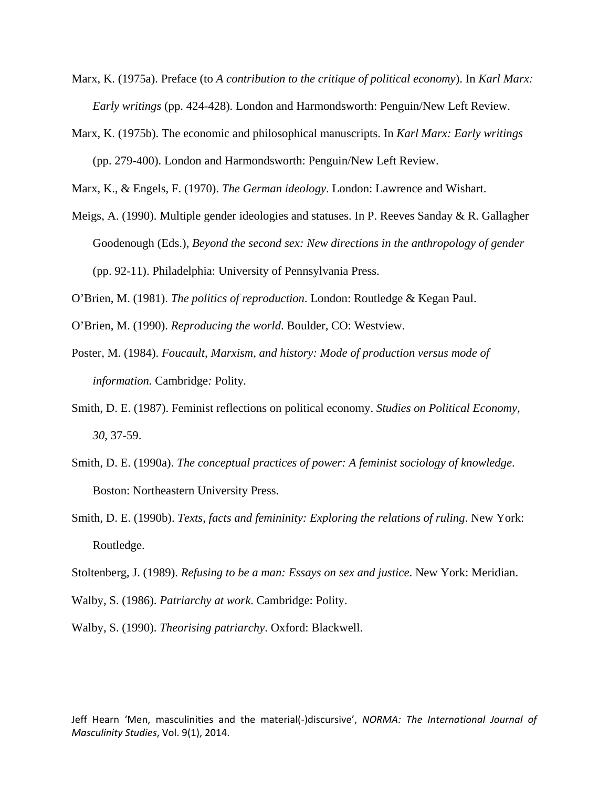- Marx, K. (1975a). Preface (to *A contribution to the critique of political economy*). In *Karl Marx: Early writings* (pp. 424-428)*.* London and Harmondsworth: Penguin/New Left Review.
- Marx, K. (1975b). The economic and philosophical manuscripts. In *Karl Marx: Early writings* (pp. 279-400). London and Harmondsworth: Penguin/New Left Review.

Marx, K., & Engels, F. (1970). *The German ideology*. London: Lawrence and Wishart.

Meigs, A. (1990). Multiple gender ideologies and statuses. In P. Reeves Sanday & R. Gallagher Goodenough (Eds.), *Beyond the second sex: New directions in the anthropology of gender* (pp. 92-11). Philadelphia: University of Pennsylvania Press.

O'Brien, M. (1981). *The politics of reproduction*. London: Routledge & Kegan Paul.

- O'Brien, M. (1990). *Reproducing the world*. Boulder, CO: Westview.
- Poster, M. (1984). *Foucault, Marxism, and history: Mode of production versus mode of information.* Cambridge*:* Polity*.*
- Smith, D. E. (1987). Feminist reflections on political economy. *Studies on Political Economy, 30*, 37-59.
- Smith, D. E. (1990a). *The conceptual practices of power: A feminist sociology of knowledge*. Boston: Northeastern University Press.
- Smith, D. E. (1990b). *Texts, facts and femininity: Exploring the relations of ruling*. New York: Routledge.

Stoltenberg, J. (1989). *Refusing to be a man: Essays on sex and justice*. New York: Meridian. Walby, S. (1986). *Patriarchy at work*. Cambridge: Polity.

Walby, S. (1990). *Theorising patriarchy*. Oxford: Blackwell.